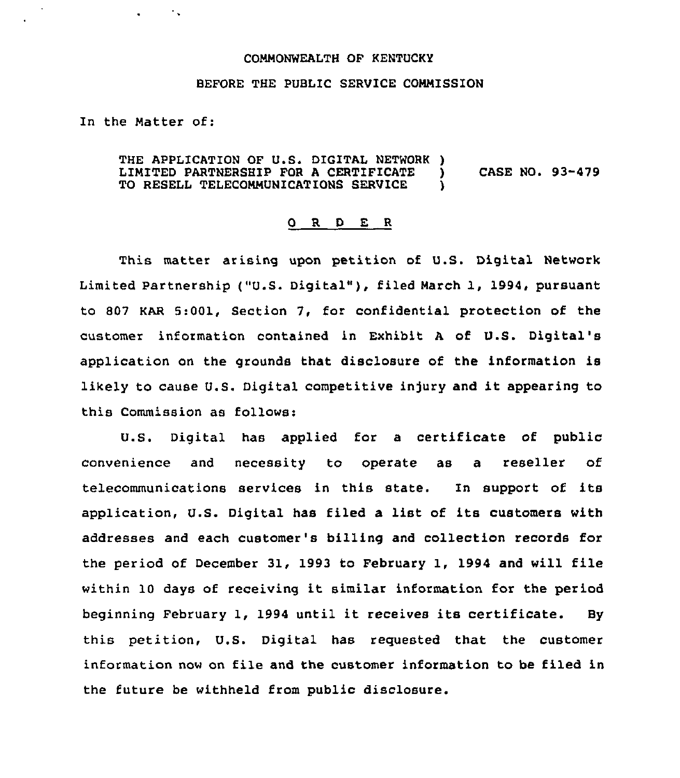## COMMONWEALTH OF KENTUCKY

## BEFORE THE PUBLIC SERVICE COMMISSION

In the Matter of:

 $\sim 10$ 

THE APPLICATION OF U.S. DIGITAL NETWORK )<br>LIMITED PARTNERSHIP FOR A CERTIFICATE LIMITED PARTNERSHIP FOR A CERTIFICATE ) CASE NO. 93-479<br>TO RESELL TELECOMMUNICATIONS SERVICE ) TO RESELL TELECOMMUNICATIONS SERVICE

## 0 R <sup>D</sup> E R

This matter arising upon petition of U.S. Digital Network Limited Partnership ("U.S. Digital" ), filed March 1, 1994, pursuant to 807 KAR 5:001, Section 7, for confidential protection of the customer information contained in Exhibit A of U.S. Digital's application on the grounds that disclosure of the information is likely to cause U.S. Digital competitive injury and it appearing to this Commission as follows:

U.S. Digital has applied for a certificate of public convenience and necessity to operate as a reseller of telecommunications services in this state. In support of its application, U.S. Digital has filed a list of its customers with addresses and each customer's billing and collection records for the period of December 31, 1993 to February 1, 1994 and will file within 10 days of receiving it similar information for the period beginning February 1, 1994 until it receives its certificate. By this petition, U.S. Digital has requested that the customer information now on file and the customer information to be filed in the future be withheld from public disclosure.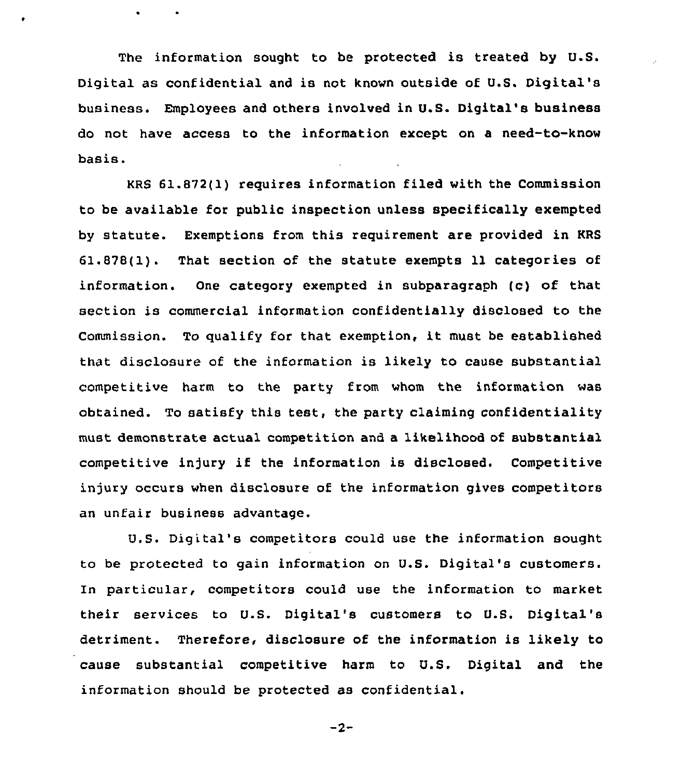The information sought to be protected is treated by U.S. Digital as confidential and is not known outside of U.S. Digital's business. Employees and others involved in U.S. Digital's business do not have access to the information except on a need-to-know basis.

KRS 61.872(1) requires information filed with the Commission to be available for public inspection unless specifically exempted by statute. Exemptions from this requirement are provided in RRS 61.878(1). That section of the statute exempts ll categories of information. One category exempted in subparagraph (c) of that section is commercial information confidentially disclosed to the Commission. To qualify for that exemption, it must be established that disclosure of the information is likely to cause substantial competitive harm to the party from whom the information was obtained. To satisfy this test, the party claiming confidentiality must demonstrate actual competition and a likelihood of substantial competitive injury if the information is disclosed. Competitive injury occurs when disclosure of the information gives competitors an unfair business advantage.

U.S. Digital's competitors could use the information sought to be protected to gain information on U.S. Digital's customers. In particular, competitors could use the information to market their services to U.S. Digital's customers to V.S. Digital's detriment. Therefore, disclosure of the information is likely to cause substantial competitive harm to U.S. Digital and the information should be protected as confidential.

$$
-2-
$$